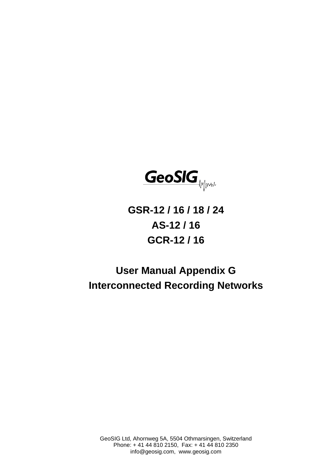

# **GSR-12 / 16 / 18 / 24 AS-12 / 16 GCR-12 / 16**

# **User Manual Appendix G Interconnected Recording Networks**

GeoSIG Ltd, Ahornweg 5A, 5504 Othmarsingen, Switzerland Phone: + 41 44 810 2150, Fax: + 41 44 810 2350 info@geosig.com, www.geosig.com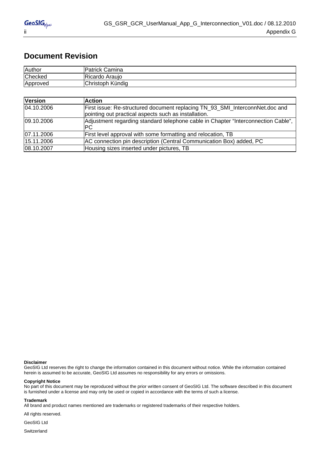### **Document Revision**

| Author   | <b>Patrick Camina</b> |
|----------|-----------------------|
| Checked  | Ricardo<br>Arauio     |
| Approved | Christoph Kündig      |

| <b>Version</b> | <b>Action</b>                                                                                                                        |
|----------------|--------------------------------------------------------------------------------------------------------------------------------------|
| 04.10.2006     | First issue: Re-structured document replacing TN_93_SMI_InterconnNet.doc and<br>pointing out practical aspects such as installation. |
| 09.10.2006     | Adjustment regarding standard telephone cable in Chapter "Interconnection Cable",<br>PC.                                             |
| 07.11.2006     | First level approval with some formatting and relocation, TB                                                                         |
| 15.11.2006     | AC connection pin description (Central Communication Box) added, PC                                                                  |
| 08.10.2007     | Housing sizes inserted under pictures, TB                                                                                            |

#### **Disclaimer**

GeoSIG Ltd reserves the right to change the information contained in this document without notice. While the information contained herein is assumed to be accurate, GeoSIG Ltd assumes no responsibility for any errors or omissions.

#### **Copyright Notice**

No part of this document may be reproduced without the prior written consent of GeoSIG Ltd. The software described in this document is furnished under a license and may only be used or copied in accordance with the terms of such a license.

#### **Trademark**

All brand and product names mentioned are trademarks or registered trademarks of their respective holders.

All rights reserved.

GeoSIG Ltd

Switzerland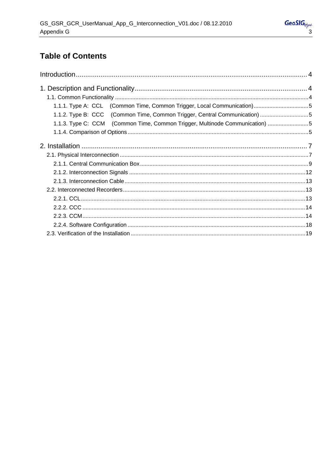# **Table of Contents**

| 1.1.1. Type A: CCL (Common Time, Common Trigger, Local Communication)5      |  |
|-----------------------------------------------------------------------------|--|
| 1.1.2. Type B: CCC (Common Time, Common Trigger, Central Communication) 5   |  |
| 1.1.3. Type C: CCM (Common Time, Common Trigger, Multinode Communication) 5 |  |
|                                                                             |  |
|                                                                             |  |
|                                                                             |  |
|                                                                             |  |
|                                                                             |  |
|                                                                             |  |
|                                                                             |  |
|                                                                             |  |
|                                                                             |  |
|                                                                             |  |
|                                                                             |  |
|                                                                             |  |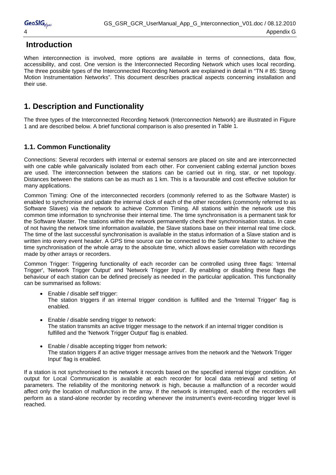<span id="page-3-0"></span>

## **Introduction**

When interconnection is involved, more options are available in terms of connections, data flow, accessibility, and cost. One version is the Interconnected Recording Network which uses local recording. The three possible types of the Interconnected Recording Network are explained in detail in "TN # 85: Strong Motion Instrumentation Networks". This document describes practical aspects concerning installation and their use.

# **1. Description and Functionality**

The three types of the Interconnected Recording Network (Interconnection Network) are illustrated in Figure 1 and are described below. A brief functional comparison is also presented in [Table 1](#page-4-1).

### **1.1. Common Functionality**

Connections: Several recorders with internal or external sensors are placed on site and are interconnected with one cable while galvanically isolated from each other. For convenient cabling external junction boxes are used. The interconnection between the stations can be carried out in ring, star, or net topology. Distances between the stations can be as much as 1 km. This is a favourable and cost effective solution for many applications.

Common Timing: One of the interconnected recorders (commonly referred to as the Software Master) is enabled to synchronise and update the internal clock of each of the other recorders (commonly referred to as Software Slaves) via the network to achieve Common Timing. All stations within the network use this common time information to synchronise their internal time. The time synchronisation is a permanent task for the Software Master. The stations within the network permanently check their synchronisation status. In case of not having the network time information available, the Slave stations base on their internal real time clock. The time of the last successful synchronisation is available in the status information of a Slave station and is written into every event header. A GPS time source can be connected to the Software Master to achieve the time synchronisation of the whole array to the absolute time, which allows easier correlation with recordings made by other arrays or recorders.

Common Trigger: Triggering functionality of each recorder can be controlled using three flags: 'Internal Trigger', 'Network Trigger Output' and 'Network Trigger Input'. By enabling or disabling these flags the behaviour of each station can be defined precisely as needed in the particular application. This functionality can be summarised as follows:

- Enable / disable self trigger: The station triggers if an internal trigger condition is fulfilled and the 'Internal Trigger' flag is enabled.
- Enable / disable sending trigger to network: The station transmits an active trigger message to the network if an internal trigger condition is fulfilled and the 'Network Trigger Output' flag is enabled.
- Enable / disable accepting trigger from network: The station triggers if an active trigger message arrives from the network and the 'Network Trigger Input' flag is enabled.

If a station is not synchronised to the network it records based on the specified internal trigger condition. An output for Local Communication is available at each recorder for local data retrieval and setting of parameters. The reliability of the monitoring network is high, because a malfunction of a recorder would affect only the location of malfunction in the array. If the network is interrupted, each of the recorders will perform as a stand-alone recorder by recording whenever the instrument's event-recording trigger level is reached.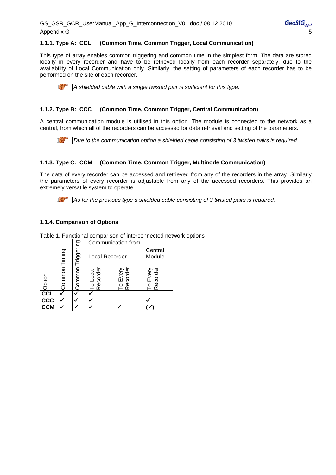### <span id="page-4-0"></span>**1.1.1. Type A: CCL (Common Time, Common Trigger, Local Communication)**

This type of array enables common triggering and common time in the simplest form. The data are stored locally in every recorder and have to be retrieved locally from each recorder separately, due to the availability of Local Communication only. Similarly, the setting of parameters of each recorder has to be performed on the site of each recorder.

*A shielded cable with a single twisted pair is sufficient for this type.* 

### **1.1.2. Type B: CCC (Common Time, Common Trigger, Central Communication)**

A central communication module is utilised in this option. The module is connected to the network as a central, from which all of the recorders can be accessed for data retrieval and setting of the parameters.

*Due to the communication option a shielded cable consisting of 3 twisted pairs is required.* 

### **1.1.3. Type C: CCM (Common Time, Common Trigger, Multinode Communication)**

The data of every recorder can be accessed and retrieved from any of the recorders in the array. Similarly the parameters of every recorder is adjustable from any of the accessed recorders. This provides an extremely versatile system to operate.



*As for the previous type a shielded cable consisting of 3 twisted pairs is required.* 

### **1.1.4. Comparison of Options**

|                 |        |            | Communication from  |                           |                   |
|-----------------|--------|------------|---------------------|---------------------------|-------------------|
|                 | Timing | Triggering | Local Recorder      |                           | Central<br>Module |
| Option          | Common | Common     | o Local<br>tecorder | corder<br>Every<br>କ<br>ଫ | Recorder<br>Every |
| cc <sub>L</sub> |        |            |                     |                           |                   |
| <b>CCC</b>      |        |            |                     |                           |                   |
| <b>CCM</b>      |        |            |                     |                           |                   |

<span id="page-4-1"></span>Table 1. Functional comparison of interconnected network options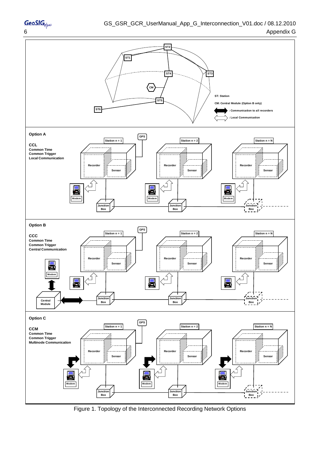

Figure 1. Topology of the Interconnected Recording Network Options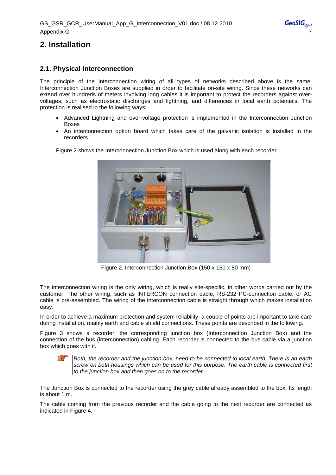# <span id="page-6-0"></span>**2. Installation**

### **2.1. Physical Interconnection**

The principle of the interconnection wiring of all types of networks described above is the same. Interconnection Junction Boxes are supplied in order to facilitate on-site wiring. Since these networks can extend over hundreds of meters involving long cables it is important to protect the recorders against overvoltages, such as electrostatic discharges and lightning, and differences in local earth potentials. The protection is realised in the following ways:

- Advanced Lightning and over-voltage protection is implemented in the Interconnection Junction Boxes
- An interconnection option board which takes care of the galvanic isolation is installed in the recorders



Figure 2 shows the Interconnection Junction Box which is used along with each recorder.

Figure 2. Interconnection Junction Box (150 x 150 x 80 mm)

The interconnection wiring is the only wiring, which is really site-specific, in other words carried out by the customer. The other wiring, such as INTERCON connection cable, RS-232 PC-connection cable, or AC cable is pre-assembled. The wiring of the interconnection cable is straight through which makes installation easy.

In order to achieve a maximum protection and system reliability, a couple of points are important to take care during installation, mainly earth and cable shield connections. These points are described in the following.

Figure 3 shows a recorder, the corresponding junction box (Interconnection Junction Box) and the connection of the bus (interconnection) cabling. Each recorder is connected to the bus cable via a junction box which goes with it.



*Both, the recorder and the junction box, need to be connected to local earth. There is an earth screw on both housings which can be used for this purpose. The earth cable is connected first to the junction box and then goes on to the recorder.* 

The Junction Box is connected to the recorder using the grey cable already assembled to the box. Its length is about 1 m.

The cable coming from the previous recorder and the cable going to the next recorder are connected as indicated in Figure 4.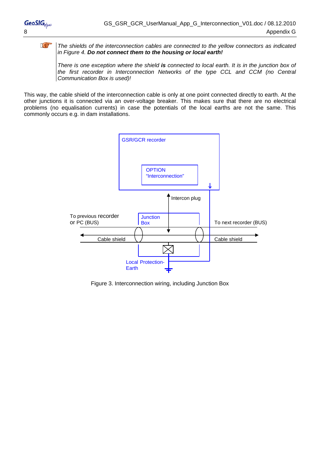**R** 

### *The shields of the interconnection cables are connected to the yellow connectors as indicated in Figure 4. Do not connect them to the housing or local earth!*

*There is one exception where the shield is connected to local earth. It is in the junction box of the first recorder in Interconnection Networks of the type CCL and CCM (no Central Communication Box is used)!* 

This way, the cable shield of the interconnection cable is only at one point connected directly to earth. At the other junctions it is connected via an over-voltage breaker. This makes sure that there are no electrical problems (no equalisation currents) in case the potentials of the local earths are not the same. This commonly occurs e.g. in dam installations.



Figure 3. Interconnection wiring, including Junction Box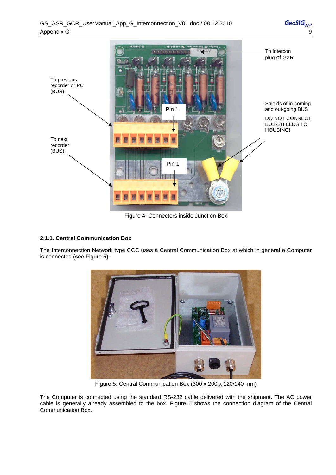<span id="page-8-0"></span>

Figure 4. Connectors inside Junction Box

### **2.1.1. Central Communication Box**

The Interconnection Network type CCC uses a Central Communication Box at which in general a Computer is connected (see Figure 5).



Figure 5. Central Communication Box (300 x 200 x 120/140 mm)

The Computer is connected using the standard RS-232 cable delivered with the shipment. The AC power cable is generally already assembled to the box. Figure 6 shows the connection diagram of the Central Communication Box.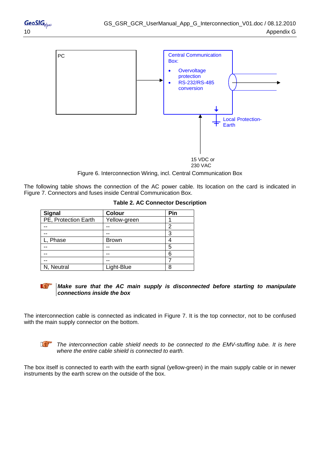

Figure 6. Interconnection Wiring, incl. Central Communication Box

The following table shows the connection of the AC power cable. Its location on the card is indicated in [Figure 7. Connectors and fuses inside Central Communication Box](#page-10-0).

| <b>Signal</b>        | <b>Colour</b> | Pin |
|----------------------|---------------|-----|
| PE, Protection Earth | Yellow-green  |     |
|                      |               | っ   |
|                      |               | 3   |
| <sub>-</sub> , Phase | <b>Brown</b>  |     |
|                      |               | 5   |
|                      |               | 6   |
|                      |               |     |
| N, Neutral           | Light-Blue    | Я   |

|  | <b>Table 2. AC Connector Description</b> |
|--|------------------------------------------|
|  |                                          |

#### *Make sure that the AC main supply is disconnected before starting to manipulate connections inside the box*

The interconnection cable is connected as indicated in Figure 7. It is the top connector, not to be confused with the main supply connector on the bottom.



*The interconnection cable shield needs to be connected to the EMV-stuffing tube. It is here where the entire cable shield is connected to earth.* 

The box itself is connected to earth with the earth signal (yellow-green) in the main supply cable or in newer instruments by the earth screw on the outside of the box.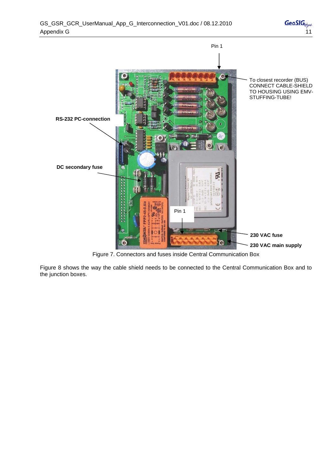

Figure 7. Connectors and fuses inside Central Communication Box

<span id="page-10-0"></span>Figure 8 shows the way the cable shield needs to be connected to the Central Communication Box and to the junction boxes.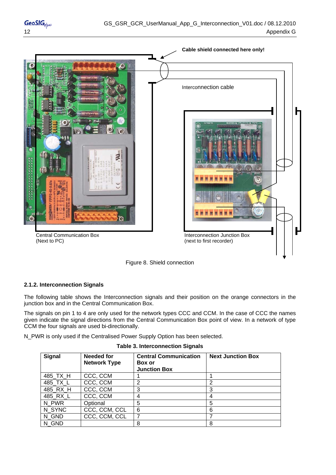<span id="page-11-0"></span>



### **2.1.2. Interconnection Signals**

The following table shows the Interconnection signals and their position on the orange connectors in the junction box and in the Central Communication Box.

The signals on pin 1 to 4 are only used for the network types CCC and CCM. In the case of CCC the names given indicate the signal directions from the Central Communication Box point of view. In a network of type CCM the four signals are used bi-directionally.

N\_PWR is only used if the Centralised Power Supply Option has been selected.

| <b>Signal</b> | <b>Needed for</b><br><b>Network Type</b> | <b>Central Communication</b><br><b>Box or</b><br><b>Junction Box</b> | <b>Next Junction Box</b> |
|---------------|------------------------------------------|----------------------------------------------------------------------|--------------------------|
| 485_TX_H      | CCC, CCM                                 |                                                                      |                          |
| 485_TX_L      | CCC, CCM                                 | 2                                                                    | 2                        |
| 485_RX_H      | CCC, CCM                                 | 3                                                                    | 3                        |
| 485_RX_L      | CCC, CCM                                 | 4                                                                    | 4                        |
| N PWR         | Optional                                 | 5                                                                    | 5                        |
| N SYNC        | CCC, CCM, CCL                            | 6                                                                    | 6                        |
| N GND         | CCC, CCM, CCL                            | 7                                                                    |                          |
| N GND         |                                          | 8                                                                    | 8                        |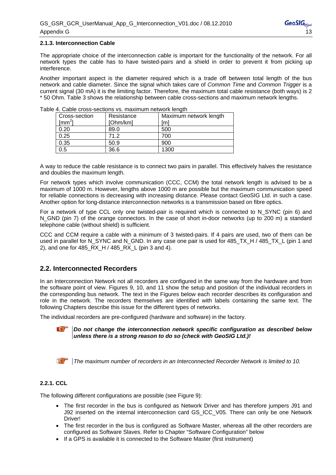### <span id="page-12-0"></span>**2.1.3. Interconnection Cable**

The appropriate choice of the interconnection cable is important for the functionality of the network. For all network types the cable has to have twisted-pairs and a shield in order to prevent it from picking up interference.

Another important aspect is the diameter required which is a trade off between total length of the bus network and cable diameter. Since the signal which takes care of *Common Time* and *Common Trigger* is a current signal (30 mA) it is the limiting factor. Therefore, the maximum total cable resistance (both ways) is 2 \* 50 Ohm. Table 3 shows the relationship between cable cross-sections and maximum network lengths.

| Cross-section<br>$\text{[mm}^2$ | Resistance<br>[Ohm/km] | Maximum network length<br>¡m1 |
|---------------------------------|------------------------|-------------------------------|
| 0.20                            | 89.0                   | 500                           |
| 0.25                            | 71.2                   | 700                           |
| 0.35                            | 50.9                   | 900                           |
| 0.5                             | 36.6                   | 1300                          |

Table 4. Cable cross-sections vs. maximum network length

A way to reduce the cable resistance is to connect two pairs in parallel. This effectively halves the resistance and doubles the maximum length.

For network types which involve communication (CCC, CCM) the total network length is advised to be a maximum of 1000 m. However, lengths above 1000 m are possible but the maximum communication speed for reliable connections is decreasing with increasing distance. Please contact GeoSIG Ltd. in such a case. Another option for long-distance interconnection networks is a transmission based on fibre optics.

For a network of type CCL only one twisted-pair is required which is connected to N\_SYNC (pin 6) and N GND (pin 7) of the orange connectors. In the case of short in-door networks (up to 200 m) a standard telephone cable (without shield) is sufficient.

CCC and CCM require a cable with a minimum of 3 twisted-pairs. If 4 pairs are used, two of them can be used in parallel for N\_SYNC and N\_GND. In any case one pair is used for 485\_TX\_H / 485\_TX\_L (pin 1 and 2), and one for 485 RX H / 485 RX L (pin 3 and 4).

### **2.2. Interconnected Recorders**

In an Interconnection Network not all recorders are configured in the same way from the hardware and from the software point of view. Figures 9, 10, and 11 show the setup and position of the individual recorders in the corresponding bus network. The text in the Figures below each recorder describes its configuration and role in the network. The recorders themselves are identified with labels containing the same text. The following Chapters describe this issue for the different types of networks.

The individual recorders are pre-configured (hardware and software) in the factory.



*Do not change the interconnection network specific configuration as described below unless there is a strong reason to do so (check with GeoSIG Ltd.)!* 

*The maximum number of recorders in an Interconnected Recorder Network is limited to 10.* 

### **2.2.1. CCL**

The following different configurations are possible (see Figure 9):

- The first recorder in the bus is configured as Network Driver and has therefore jumpers J91 and J92 inserted on the internal interconnection card GS\_ICC\_V05. There can only be one Network Driver!
- The first recorder in the bus is configured as Software Master, whereas all the other recorders are configured as Software Slaves. Refer to Chapter "Software Configuration" below
- If a GPS is available it is connected to the Software Master (first instrument)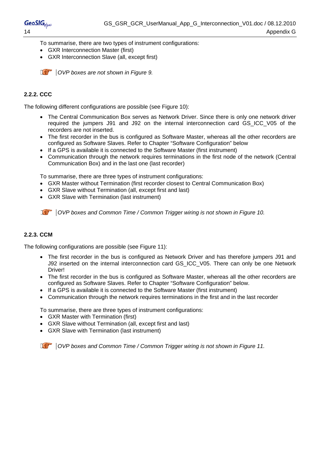<span id="page-13-0"></span>To summarise, there are two types of instrument configurations:

- GXR Interconnection Master (first)
- GXR Interconnection Slave (all, except first)

*A OVP boxes are not shown in Figure 9.* 

### **2.2.2. CCC**

The following different configurations are possible (see Figure 10):

- The Central Communication Box serves as Network Driver. Since there is only one network driver required the jumpers J91 and J92 on the internal interconnection card GS\_ICC\_V05 of the recorders are not inserted.
- The first recorder in the bus is configured as Software Master, whereas all the other recorders are configured as Software Slaves. Refer to Chapter "Software Configuration" below
- If a GPS is available it is connected to the Software Master (first instrument)
- Communication through the network requires terminations in the first node of the network (Central Communication Box) and in the last one (last recorder)

To summarise, there are three types of instrument configurations:

- GXR Master without Termination (first recorder closest to Central Communication Box)
- GXR Slave without Termination (all, except first and last)
- GXR Slave with Termination (last instrument)

*COVP boxes and Common Time / Common Trigger wiring is not shown in Figure 10.* 

### **2.2.3. CCM**

The following configurations are possible (see Figure 11):

- The first recorder in the bus is configured as Network Driver and has therefore jumpers J91 and J92 inserted on the internal interconnection card GS\_ICC\_V05. There can only be one Network Driver!
- The first recorder in the bus is configured as Software Master, whereas all the other recorders are configured as Software Slaves. Refer to Chapter "Software Configuration" below.
- If a GPS is available it is connected to the Software Master (first instrument)
- Communication through the network requires terminations in the first and in the last recorder

To summarise, there are three types of instrument configurations:

- GXR Master with Termination (first)
- GXR Slave without Termination (all, except first and last)
- GXR Slave with Termination (last instrument)

*COVP boxes and Common Time / Common Trigger wiring is not shown in Figure 11.*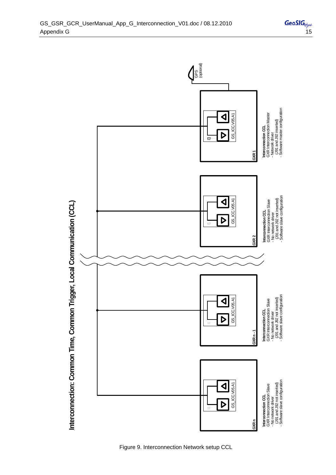

Figure 9. Interconnection Network setup CCL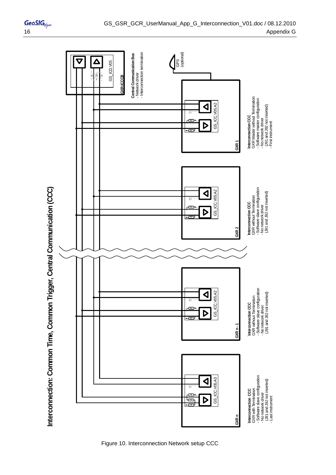

Figure 10. Interconnection Network setup CCC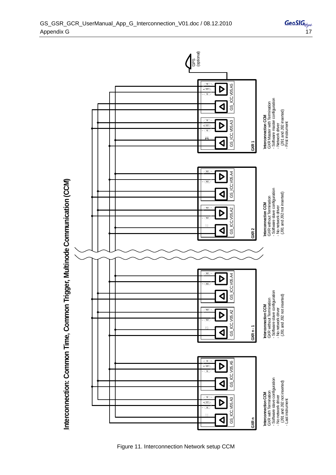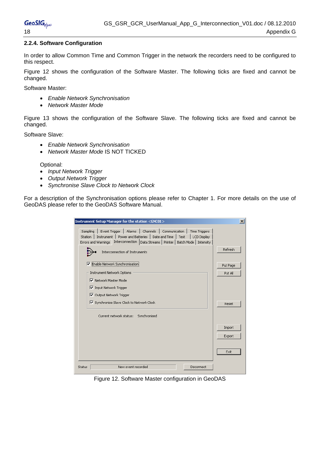### <span id="page-17-0"></span>**2.2.4. Software Configuration**

In order to allow Common Time and Common Trigger in the network the recorders need to be configured to this respect.

Figure 12 shows the configuration of the Software Master. The following ticks are fixed and cannot be changed.

Software Master:

- *Enable Network Synchronisation*
- *Network Master Mode*

Figure 13 shows the configuration of the Software Slave. The following ticks are fixed and cannot be changed.

Software Slave:

- *Enable Network Synchronisation*
- *Network Master Mode* IS NOT TICKED

Optional:

- *Input Network Trigger*
- *Output Network Trigger*
- *Synchronise Slave Clock to Network Clock*

For a description of the Synchronisation options please refer to Chapter 1. For more details on the use of GeoDAS please refer to the GeoDAS Software Manual.

| Instrument Setup Manager for the station <gnc01></gnc01>                                                                                                                                                                                                                                                                                                                                                                                                                                                                                     | $\times$                                |
|----------------------------------------------------------------------------------------------------------------------------------------------------------------------------------------------------------------------------------------------------------------------------------------------------------------------------------------------------------------------------------------------------------------------------------------------------------------------------------------------------------------------------------------------|-----------------------------------------|
| Channels  <br>Sampling<br>Event Trigger<br>Alarms  <br>Communication<br><b>Time Triggers</b><br>Instrument   Power and Batteries<br><b>Station</b><br>Date and Time<br>LCD Display<br>Test<br>٠<br>Interconnection  <br>Data Streams   Printer   Batch Mode   Intensity<br>Errors and Warnings<br>Interconnection of Instruments<br>Enable Network Synchronisation<br> ⊽<br><b>Instrument Network Options</b><br>■ Network Master Mode<br>Iv Input Network Trigger<br>□ Output Network Trigger<br>V Synchronise Slave Clock to Network Clock | Refresh<br>Put Page<br>Put All<br>Reset |
| Current network status:<br>Synchronised                                                                                                                                                                                                                                                                                                                                                                                                                                                                                                      | Import<br>Export<br>Exit                |
| New event recorded<br>Disconnect<br>Status                                                                                                                                                                                                                                                                                                                                                                                                                                                                                                   |                                         |

Figure 12. Software Master configuration in GeoDAS